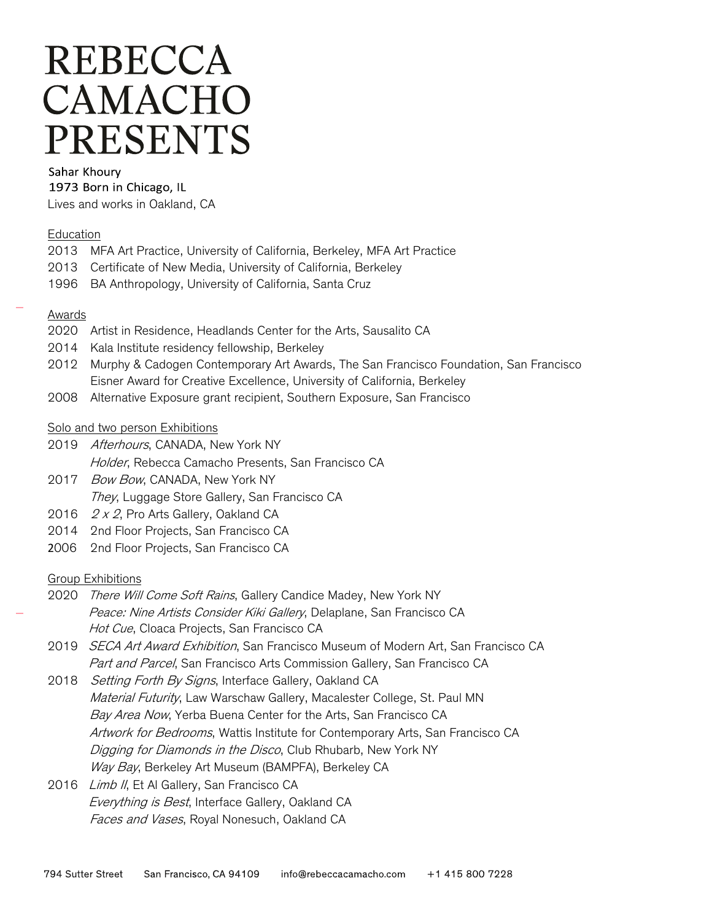# **REBECCA** CAMACHO **PRESENTS**

#### Sahar Khoury

1973 Born in Chicago, IL

Lives and works in Oakland, CA

### **Education**

- 2013 MFA Art Practice, University of California, Berkeley, MFA Art Practice
- 2013 Certificate of New Media, University of California, Berkeley
- 1996 BA Anthropology, University of California, Santa Cruz

### Awards

- 2020 Artist in Residence, Headlands Center for the Arts, Sausalito CA
- 2014 Kala Institute residency fellowship, Berkeley
- 2012 Murphy & Cadogen Contemporary Art Awards, The San Francisco Foundation, San Francisco Eisner Award for Creative Excellence, University of California, Berkeley
- 2008 Alternative Exposure grant recipient, Southern Exposure, San Francisco

### Solo and two person Exhibitions

- 2019 Afterhours, CANADA, New York NY Holder, Rebecca Camacho Presents, San Francisco CA
- 2017 Bow Bow, CANADA, New York NY They, Luggage Store Gallery, San Francisco CA
- 2016 2 x 2, Pro Arts Gallery, Oakland CA
- 2014 2nd Floor Projects, San Francisco CA
- 2006 2nd Floor Projects, San Francisco CA

## **Group Exhibitions**

- 2020 There Will Come Soft Rains, Gallery Candice Madey, New York NY Peace: Nine Artists Consider Kiki Gallery, Delaplane, San Francisco CA Hot Cue, Cloaca Projects, San Francisco CA
- 2019 SECA Art Award Exhibition, San Francisco Museum of Modern Art, San Francisco CA Part and Parcel, San Francisco Arts Commission Gallery, San Francisco CA
- 2018 Setting Forth By Signs, Interface Gallery, Oakland CA Material Futurity, Law Warschaw Gallery, Macalester College, St. Paul MN Bay Area Now, Yerba Buena Center for the Arts, San Francisco CA Artwork for Bedrooms, Wattis Institute for Contemporary Arts, San Francisco CA Digging for Diamonds in the Disco, Club Rhubarb, New York NY Way Bay, Berkeley Art Museum (BAMPFA), Berkeley CA
- 2016 Limb II, Et Al Gallery, San Francisco CA Everything is Best, Interface Gallery, Oakland CA Faces and Vases, Royal Nonesuch, Oakland CA